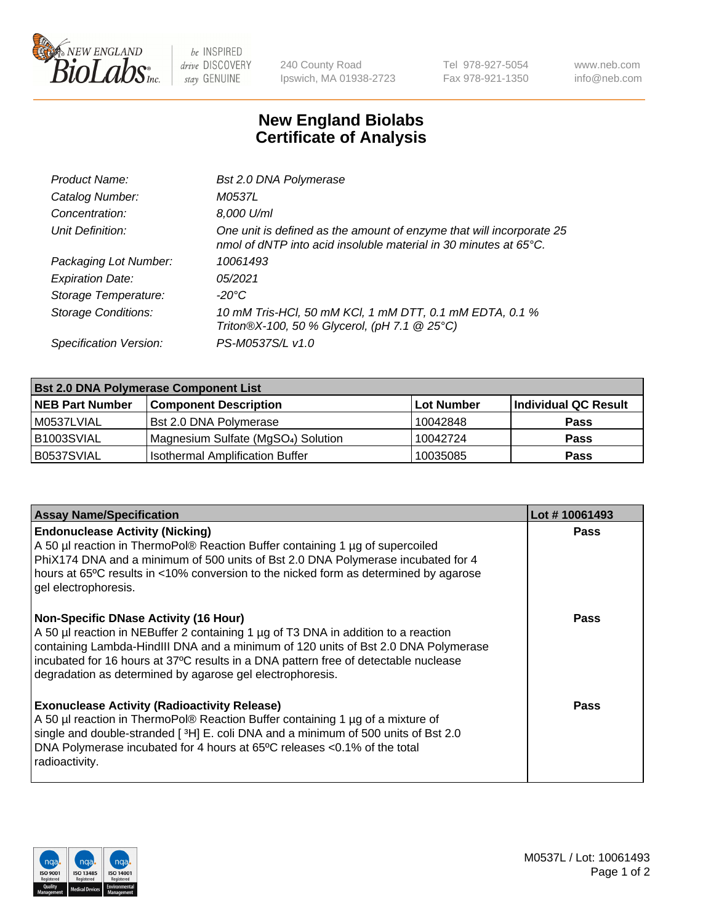

 $be$  INSPIRED drive DISCOVERY stay GENUINE

240 County Road Ipswich, MA 01938-2723 Tel 978-927-5054 Fax 978-921-1350 www.neb.com info@neb.com

## **New England Biolabs Certificate of Analysis**

| Product Name:              | Bst 2.0 DNA Polymerase                                                                                                                   |
|----------------------------|------------------------------------------------------------------------------------------------------------------------------------------|
| Catalog Number:            | M0537L                                                                                                                                   |
| Concentration:             | 8,000 U/ml                                                                                                                               |
| Unit Definition:           | One unit is defined as the amount of enzyme that will incorporate 25<br>nmol of dNTP into acid insoluble material in 30 minutes at 65°C. |
| Packaging Lot Number:      | 10061493                                                                                                                                 |
| <b>Expiration Date:</b>    | 05/2021                                                                                                                                  |
| Storage Temperature:       | -20°C                                                                                                                                    |
| <b>Storage Conditions:</b> | 10 mM Tris-HCl, 50 mM KCl, 1 mM DTT, 0.1 mM EDTA, 0.1 %<br>Triton®X-100, 50 % Glycerol, (pH 7.1 @ 25°C)                                  |
| Specification Version:     | PS-M0537S/L v1.0                                                                                                                         |

| <b>Bst 2.0 DNA Polymerase Component List</b> |                                                 |                   |                      |  |
|----------------------------------------------|-------------------------------------------------|-------------------|----------------------|--|
| <b>NEB Part Number</b>                       | <b>Component Description</b>                    | <b>Lot Number</b> | Individual QC Result |  |
| M0537LVIAL                                   | <b>Bst 2.0 DNA Polymerase</b>                   | 10042848          | <b>Pass</b>          |  |
| B1003SVIAL                                   | Magnesium Sulfate (MgSO <sub>4</sub> ) Solution | 10042724          | <b>Pass</b>          |  |
| B0537SVIAL                                   | <b>Isothermal Amplification Buffer</b>          | 10035085          | <b>Pass</b>          |  |

| <b>Assay Name/Specification</b>                                                                                                                                                                                                                                                                                                                                              | Lot #10061493 |
|------------------------------------------------------------------------------------------------------------------------------------------------------------------------------------------------------------------------------------------------------------------------------------------------------------------------------------------------------------------------------|---------------|
| <b>Endonuclease Activity (Nicking)</b><br>A 50 µl reaction in ThermoPol® Reaction Buffer containing 1 µg of supercoiled<br>PhiX174 DNA and a minimum of 500 units of Bst 2.0 DNA Polymerase incubated for 4<br>hours at 65°C results in <10% conversion to the nicked form as determined by agarose<br>gel electrophoresis.                                                  | <b>Pass</b>   |
| <b>Non-Specific DNase Activity (16 Hour)</b><br>A 50 µl reaction in NEBuffer 2 containing 1 µg of T3 DNA in addition to a reaction<br>containing Lambda-HindIII DNA and a minimum of 120 units of Bst 2.0 DNA Polymerase<br>incubated for 16 hours at 37°C results in a DNA pattern free of detectable nuclease<br>degradation as determined by agarose gel electrophoresis. | <b>Pass</b>   |
| <b>Exonuclease Activity (Radioactivity Release)</b><br>A 50 µl reaction in ThermoPol® Reaction Buffer containing 1 µg of a mixture of<br>single and double-stranded [ <sup>3</sup> H] E. coli DNA and a minimum of 500 units of Bst 2.0<br>DNA Polymerase incubated for 4 hours at 65°C releases <0.1% of the total<br>radioactivity.                                        | <b>Pass</b>   |